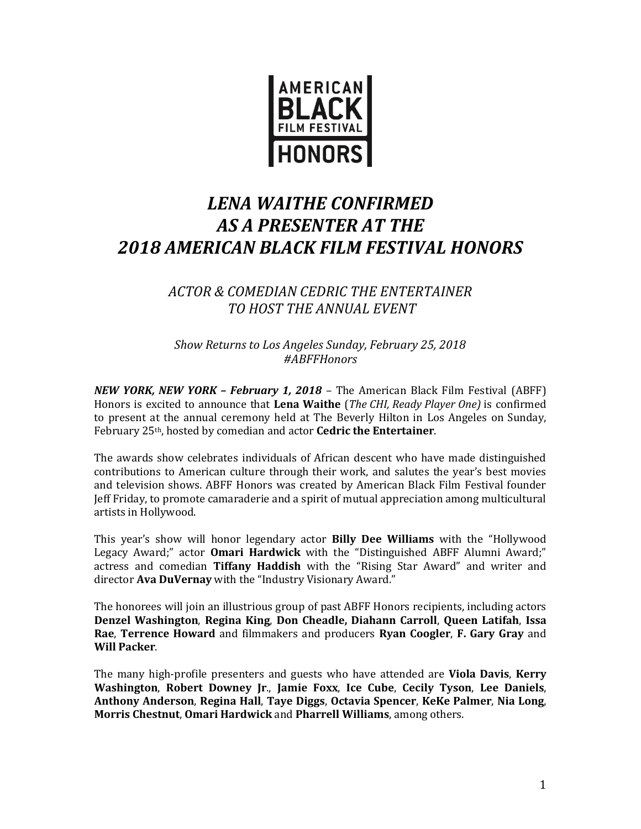

## *LENA WAITHE CONFIRMED AS A PRESENTER AT THE 2018 AMERICAN BLACK FILM FESTIVAL HONORS*

## *ACTOR & COMEDIAN CEDRIC THE ENTERTAINER TO HOST THE ANNUAL EVENT*

*Show Returns to Los Angeles Sunday, February 25, 2018 #ABFFHonors*

*NEW YORK, NEW YORK – February 1, 2018* – The American Black Film Festival (ABFF) Honors is excited to announce that **Lena Waithe** (*The CHI, Ready Player One)* is confirmed to present at the annual ceremony held at The Beverly Hilton in Los Angeles on Sunday, February 25th, hosted by comedian and actor **Cedric the Entertainer**.

The awards show celebrates individuals of African descent who have made distinguished contributions to American culture through their work, and salutes the year's best movies and television shows. ABFF Honors was created by American Black Film Festival founder Jeff Friday, to promote camaraderie and a spirit of mutual appreciation among multicultural artists in Hollywood.

This year's show will honor legendary actor **Billy Dee Williams** with the "Hollywood Legacy Award;" actor **Omari Hardwick** with the "Distinguished ABFF Alumni Award;" actress and comedian **Tiffany Haddish** with the "Rising Star Award" and writer and director **Ava DuVernay** with the "Industry Visionary Award."

The honorees will join an illustrious group of past ABFF Honors recipients, including actors **Denzel Washington**, **Regina King**, **Don Cheadle, Diahann Carroll**, **Queen Latifah**, **Issa Rae**, **Terrence Howard** and filmmakers and producers **Ryan Coogler**, **F. Gary Gray** and **Will Packer**.

The many high-profile presenters and guests who have attended are **Viola Davis**, **Kerry Washington**, **Robert Downey Jr**., **Jamie Foxx**, **Ice Cube**, **Cecily Tyson**, **Lee Daniels**, **Anthony Anderson**, **Regina Hall**, **Taye Diggs**, **Octavia Spencer**, **KeKe Palmer**, **Nia Long**, **Morris Chestnut**, **Omari Hardwick** and **Pharrell Williams**, among others.